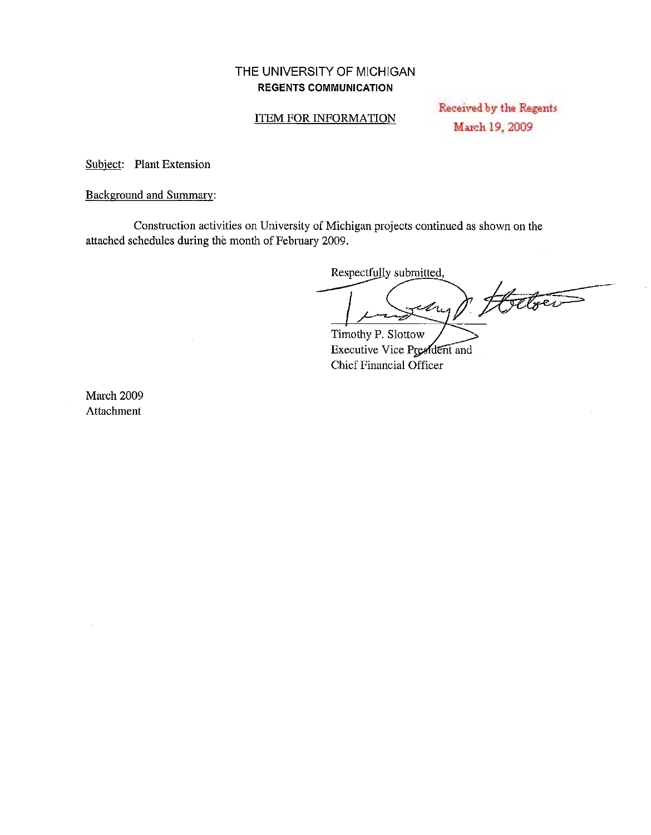#### THE UNIVERSITY OF MICHIGAN REGENTS COMMUNICATION

#### ITEM FOR INFORMATION

Received by the Regents March 19, 2009

Subject: Plant Extension

Background and Summary:

Constmction activities on University of Michigan projects continued as shown on the attached schedules during the month of February 2009.

Respectfully submitted,

Fetoer My/ Timothy P. Slottow

Executive Vice President and Chief Financial Officer

March 2009 Attachment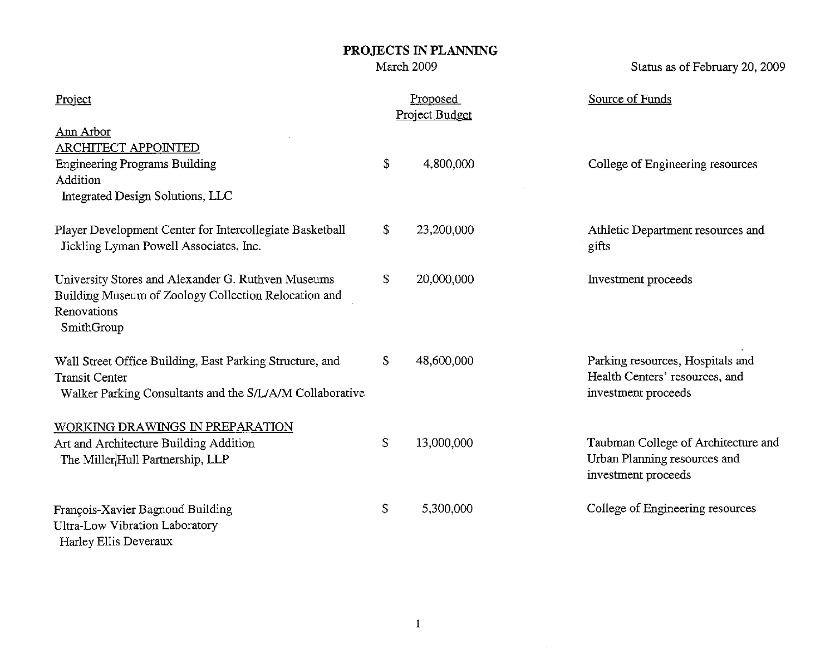March 2009

Status as of February 20, 2009

| Project                                                                                                                                       | Proposed<br>Project Budget | Source of Funds                                                                            |
|-----------------------------------------------------------------------------------------------------------------------------------------------|----------------------------|--------------------------------------------------------------------------------------------|
| Ann Arbor<br><b>ARCHITECT APPOINTED</b><br><b>Engineering Programs Building</b><br>Addition<br>Integrated Design Solutions, LLC               | \$<br>4,800,000            | College of Engineering resources                                                           |
| Player Development Center for Intercollegiate Basketball<br>Jickling Lyman Powell Associates, Inc.                                            | \$<br>23,200,000           | Athletic Department resources and<br>gifts                                                 |
| University Stores and Alexander G. Ruthven Museums<br>Building Museum of Zoology Collection Relocation and<br>Renovations<br>SmithGroup       | \$<br>20,000,000           | Investment proceeds                                                                        |
| Wall Street Office Building, East Parking Structure, and<br><b>Transit Center</b><br>Walker Parking Consultants and the S/L/A/M Collaborative | \$<br>48,600,000           | Parking resources, Hospitals and<br>Health Centers' resources, and<br>investment proceeds  |
| WORKING DRAWINGS IN PREPARATION<br>Art and Architecture Building Addition<br>The Miller Hull Partnership, LLP                                 | \$<br>13,000,000           | Taubman College of Architecture and<br>Urban Planning resources and<br>investment proceeds |
| François-Xavier Bagnoud Building<br><b>Ultra-Low Vibration Laboratory</b><br>Harley Ellis Deveraux                                            | \$<br>5,300,000            | College of Engineering resources                                                           |

 $\sim 10^6$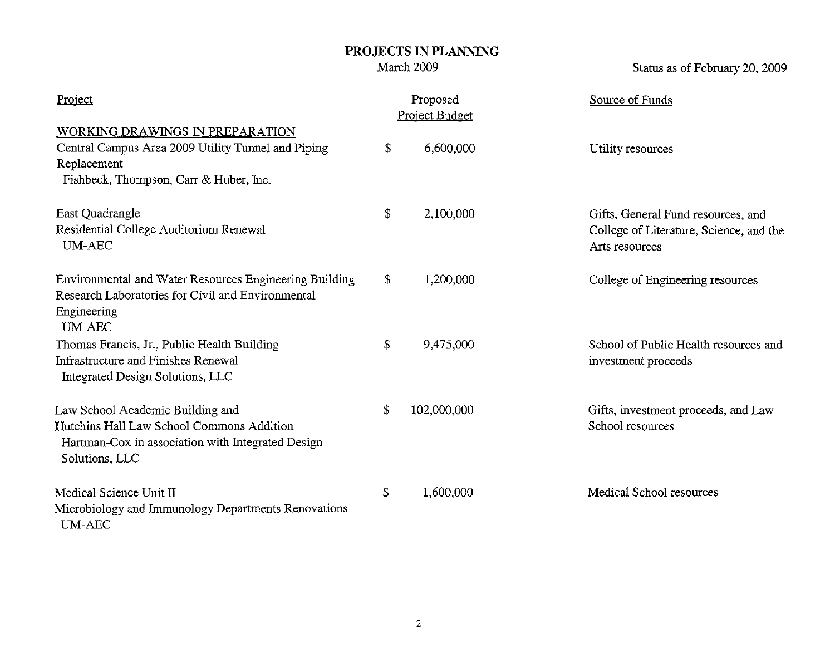March 2009

Status as of February 20, 2009

| Project                                                                                                                                              | Proposed<br>Project Budget | Source of Funds                                                                                 |
|------------------------------------------------------------------------------------------------------------------------------------------------------|----------------------------|-------------------------------------------------------------------------------------------------|
| WORKING DRAWINGS IN PREPARATION<br>Central Campus Area 2009 Utility Tunnel and Piping<br>Replacement<br>Fishbeck, Thompson, Carr & Huber, Inc.       | \$<br>6,600,000            | Utility resources                                                                               |
| East Quadrangle<br>Residential College Auditorium Renewal<br><b>UM-AEC</b>                                                                           | \$<br>2,100,000            | Gifts, General Fund resources, and<br>College of Literature, Science, and the<br>Arts resources |
| Environmental and Water Resources Engineering Building<br>Research Laboratories for Civil and Environmental<br>Engineering<br><b>UM-AEC</b>          | \$<br>1,200,000            | College of Engineering resources                                                                |
| Thomas Francis, Jr., Public Health Building<br>Infrastructure and Finishes Renewal<br>Integrated Design Solutions, LLC                               | \$<br>9,475,000            | School of Public Health resources and<br>investment proceeds                                    |
| Law School Academic Building and<br>Hutchins Hall Law School Commons Addition<br>Hartman-Cox in association with Integrated Design<br>Solutions, LLC | \$<br>102,000,000          | Gifts, investment proceeds, and Law<br>School resources                                         |
| Medical Science Unit II<br>Microbiology and Immunology Departments Renovations<br><b>UM-AEC</b>                                                      | \$<br>1,600,000            | Medical School resources                                                                        |

 $\sim 10^{-1}$ 

 $\mathcal{L}^{\text{max}}_{\text{max}}$  and  $\mathcal{L}^{\text{max}}_{\text{max}}$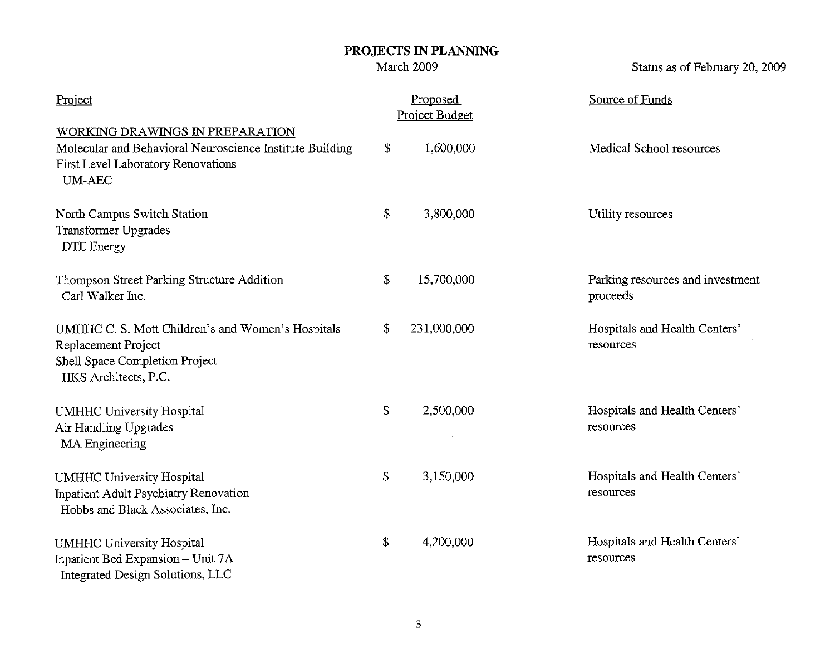March 2009

Status as of February 20, 2009

| Project                                                                                                                                            | Proposed<br>Project Budget | Source of Funds                              |
|----------------------------------------------------------------------------------------------------------------------------------------------------|----------------------------|----------------------------------------------|
| WORKING DRAWINGS IN PREPARATION<br>Molecular and Behavioral Neuroscience Institute Building<br>First Level Laboratory Renovations<br><b>UM-AEC</b> | \$<br>1,600,000            | Medical School resources                     |
| North Campus Switch Station<br><b>Transformer Upgrades</b><br><b>DTE</b> Energy                                                                    | \$<br>3,800,000            | Utility resources                            |
| Thompson Street Parking Structure Addition<br>Carl Walker Inc.                                                                                     | \$<br>15,700,000           | Parking resources and investment<br>proceeds |
| UMHHC C. S. Mott Children's and Women's Hospitals<br>Replacement Project<br>Shell Space Completion Project<br>HKS Architects, P.C.                 | \$<br>231,000,000          | Hospitals and Health Centers'<br>resources   |
| <b>UMHHC University Hospital</b><br>Air Handling Upgrades<br><b>MA</b> Engineering                                                                 | \$<br>2,500,000            | Hospitals and Health Centers'<br>resources   |
| <b>UMHHC University Hospital</b><br><b>Inpatient Adult Psychiatry Renovation</b><br>Hobbs and Black Associates, Inc.                               | \$<br>3,150,000            | Hospitals and Health Centers'<br>resources   |
| <b>UMHHC University Hospital</b><br>Inpatient Bed Expansion - Unit 7A<br>Integrated Design Solutions, LLC                                          | \$<br>4,200,000            | Hospitals and Health Centers'<br>resources   |

 $\sim 10^{-1}$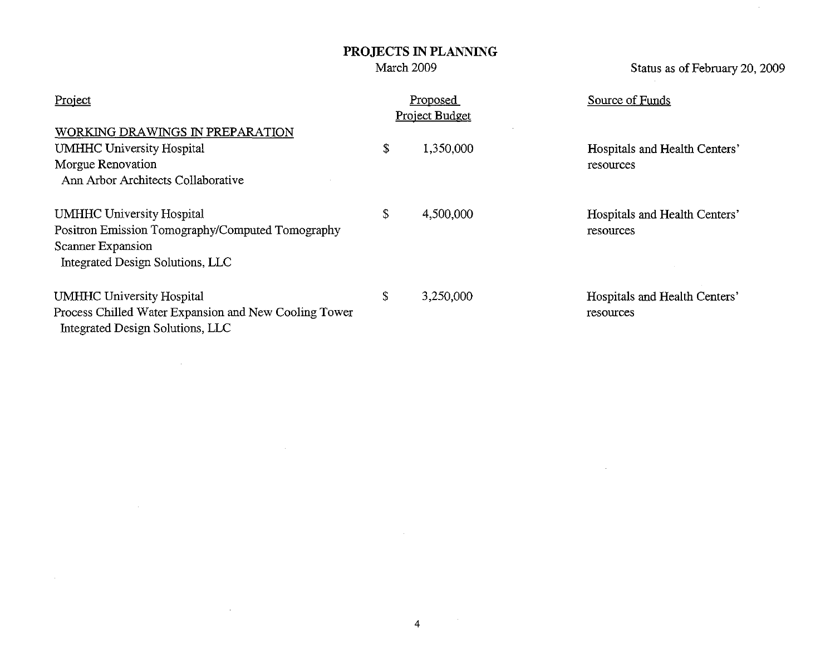March 2009

Status as of February 20, 2009

 $\sim$ 

| Project                                                                                                                                       | Proposed<br><b>Project Budget</b> | Source of Funds                            |
|-----------------------------------------------------------------------------------------------------------------------------------------------|-----------------------------------|--------------------------------------------|
| WORKING DRAWINGS IN PREPARATION<br><b>UMHHC University Hospital</b><br>Morgue Renovation<br>Ann Arbor Architects Collaborative                | \$<br>1,350,000                   | Hospitals and Health Centers'<br>resources |
| <b>UMHHC University Hospital</b><br>Positron Emission Tomography/Computed Tomography<br>Scanner Expansion<br>Integrated Design Solutions, LLC | \$<br>4,500,000                   | Hospitals and Health Centers'<br>resources |
| <b>UMHHC University Hospital</b><br>Process Chilled Water Expansion and New Cooling Tower<br>Integrated Design Solutions, LLC                 | \$<br>3,250,000                   | Hospitals and Health Centers'<br>resources |

 $\mathcal{L}^{\text{max}}_{\text{max}}$  and  $\mathcal{L}^{\text{max}}_{\text{max}}$ 

 $\sim 100$  km  $^{-1}$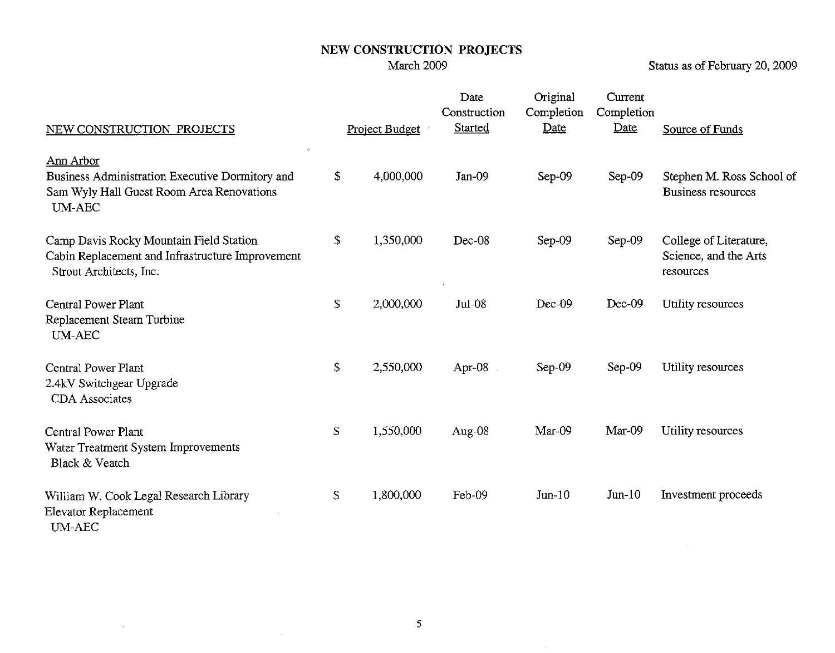Status as of February 20, 2009

 $\sim 10^{11}$ 

| NEW CONSTRUCTION PROJECTS                                                                                                  | <b>Project Budget</b> | Date<br>Construction<br>Started | Original<br>Completion<br><b>Date</b> | Current<br>Completion<br>Date | Source of Funds                                              |
|----------------------------------------------------------------------------------------------------------------------------|-----------------------|---------------------------------|---------------------------------------|-------------------------------|--------------------------------------------------------------|
| Ann Arbor<br>Business Administration Executive Dormitory and<br>Sam Wyly Hall Guest Room Area Renovations<br><b>UM-AEC</b> | \$<br>4,000,000       | Jan-09                          | Sep-09                                | Sep-09                        | Stephen M. Ross School of<br><b>Business resources</b>       |
| Camp Davis Rocky Mountain Field Station<br>Cabin Replacement and Infrastructure Improvement<br>Strout Architects, Inc.     | \$<br>1,350,000       | Dec-08                          | Sep-09                                | $Sep-09$                      | College of Literature,<br>Science, and the Arts<br>resources |
| Central Power Plant<br>Replacement Steam Turbine<br><b>UM-AEC</b>                                                          | \$<br>2,000,000       | $Jul-08$                        | $Dec-09$                              | $Dec-09$                      | Utility resources                                            |
| Central Power Plant<br>2.4kV Switchgear Upgrade<br><b>CDA</b> Associates                                                   | \$<br>2,550,000       | Apr-08                          | Sep-09                                | Sep-09                        | Utility resources                                            |
| Central Power Plant<br>Water Treatment System Improvements<br>Black & Veatch                                               | \$<br>1,550,000       | Aug-08                          | Mar-09                                | Mar-09                        | Utility resources                                            |
| William W. Cook Legal Research Library<br>Elevator Replacement<br><b>UM-AEC</b>                                            | \$<br>1,800,000       | Feb-09                          | $Jun-10$                              | $Jun-10$                      | Investment proceeds                                          |

 $\sim 30$ 

 $\sim 10^{-1}$ 

 $\sim 10^{11}$  km s  $^{-1}$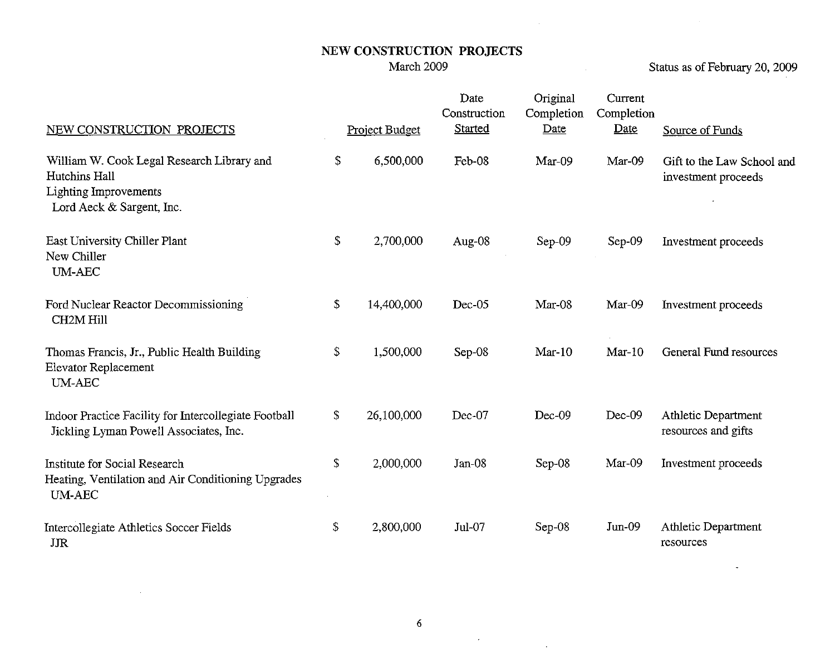Status as of February 20, 2009

 $\ddot{\phantom{a}}$ 

| NEW CONSTRUCTION PROJECTS                                                                                         | Project Budget   | Date<br>Construction<br><b>Started</b> | Original<br>Completion<br>Date | Current<br>Completion<br>Date | Source of Funds                                   |
|-------------------------------------------------------------------------------------------------------------------|------------------|----------------------------------------|--------------------------------|-------------------------------|---------------------------------------------------|
| William W. Cook Legal Research Library and<br>Hutchins Hall<br>Lighting Improvements<br>Lord Aeck & Sargent, Inc. | \$<br>6,500,000  | Feb-08                                 | Mar-09                         | Mar-09                        | Gift to the Law School and<br>investment proceeds |
| East University Chiller Plant<br>New Chiller<br><b>UM-AEC</b>                                                     | \$<br>2,700,000  | Aug-08                                 | Sep-09                         | Sep-09                        | Investment proceeds                               |
| Ford Nuclear Reactor Decommissioning<br><b>CH2M Hill</b>                                                          | \$<br>14,400,000 | Dec-05                                 | Mar-08                         | Mar-09                        | Investment proceeds                               |
| Thomas Francis, Jr., Public Health Building<br>Elevator Replacement<br>UM-AEC                                     | \$<br>1,500,000  | Sep-08                                 | $Mar-10$                       | $Mar-10$                      | General Fund resources                            |
| Indoor Practice Facility for Intercollegiate Football<br>Jickling Lyman Powell Associates, Inc.                   | \$<br>26,100,000 | Dec-07                                 | $Dec-09$                       | Dec-09                        | <b>Athletic Department</b><br>resources and gifts |
| Institute for Social Research<br>Heating, Ventilation and Air Conditioning Upgrades<br><b>UM-AEC</b>              | \$<br>2,000,000  | $Jan-08$                               | Sep-08                         | $Mar-09$                      | Investment proceeds                               |
| Intercollegiate Athletics Soccer Fields<br><b>JJR</b>                                                             | \$<br>2,800,000  | Jul-07                                 | $Sep-08$                       | $Jun-09$                      | <b>Athletic Department</b><br>resources           |

 $\label{eq:2.1} \frac{1}{\sqrt{2}}\sum_{i=1}^n\frac{1}{\sqrt{2}}\sum_{j=1}^n\frac{1}{\sqrt{2}}\sum_{j=1}^n\frac{1}{\sqrt{2}}\sum_{j=1}^n\frac{1}{\sqrt{2}}\sum_{j=1}^n\frac{1}{\sqrt{2}}\sum_{j=1}^n\frac{1}{\sqrt{2}}\sum_{j=1}^n\frac{1}{\sqrt{2}}\sum_{j=1}^n\frac{1}{\sqrt{2}}\sum_{j=1}^n\frac{1}{\sqrt{2}}\sum_{j=1}^n\frac{1}{\sqrt{2}}\sum_{j=1}^n\frac$ 

 $\sim 100$ 

 $\sim$   $\sim$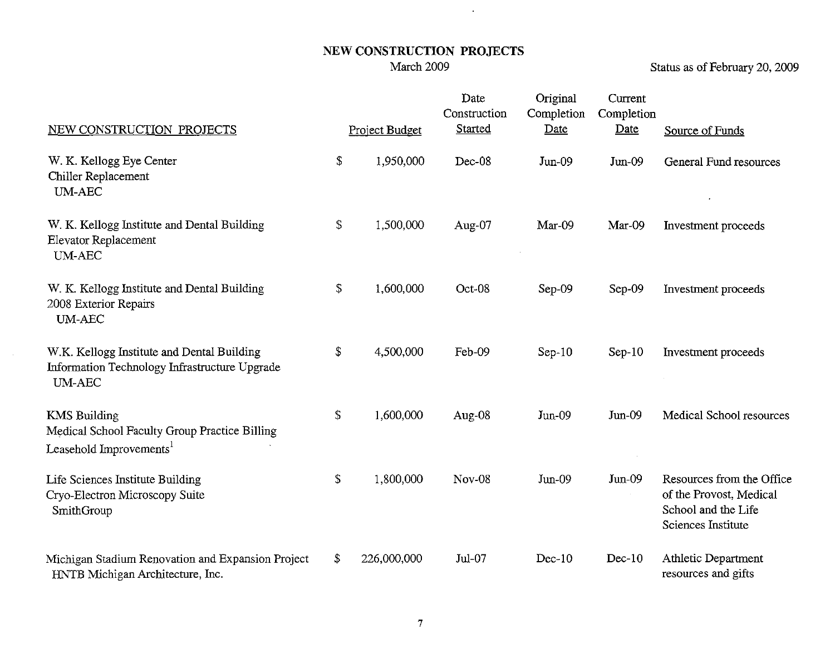$\sim 10^{11}$ 

Status as of February 20, 2009

| NEW CONSTRUCTION PROJECTS                                                                                    | Project Budget    | Date<br>Construction<br><b>Started</b> | Original<br>Completion<br>Date | Current<br>Completion<br>Date | Source of Funds                                                                                   |
|--------------------------------------------------------------------------------------------------------------|-------------------|----------------------------------------|--------------------------------|-------------------------------|---------------------------------------------------------------------------------------------------|
| W. K. Kellogg Eye Center<br>Chiller Replacement<br><b>UM-AEC</b>                                             | \$<br>1,950,000   | Dec-08                                 | $Jun-09$                       | $Jun-09$                      | <b>General Fund resources</b>                                                                     |
| W. K. Kellogg Institute and Dental Building<br>Elevator Replacement<br><b>UM-AEC</b>                         | \$<br>1,500,000   | Aug-07                                 | Mar-09                         | Mar-09                        | Investment proceeds                                                                               |
| W. K. Kellogg Institute and Dental Building<br>2008 Exterior Repairs<br><b>UM-AEC</b>                        | \$<br>1,600,000   | Oct-08                                 | Sep-09                         | $Sep-09$                      | Investment proceeds                                                                               |
| W.K. Kellogg Institute and Dental Building<br>Information Technology Infrastructure Upgrade<br><b>UM-AEC</b> | \$<br>4,500,000   | Feb-09                                 | $Sep-10$                       | $Sep-10$                      | Investment proceeds                                                                               |
| <b>KMS Building</b><br>Medical School Faculty Group Practice Billing<br>Leasehold Improvements <sup>1</sup>  | \$<br>1,600,000   | Aug-08                                 | $Jun-09$                       | $Jun-09$                      | Medical School resources                                                                          |
| Life Sciences Institute Building<br>Cryo-Electron Microscopy Suite<br>SmithGroup                             | \$<br>1,800,000   | <b>Nov-08</b>                          | $Jun-09$                       | $Jun-09$                      | Resources from the Office<br>of the Provost, Medical<br>School and the Life<br>Sciences Institute |
| Michigan Stadium Renovation and Expansion Project<br>HNTB Michigan Architecture, Inc.                        | \$<br>226,000,000 | $Jul-07$                               | $Dec-10$                       | $Dec-10$                      | Athletic Department<br>resources and gifts                                                        |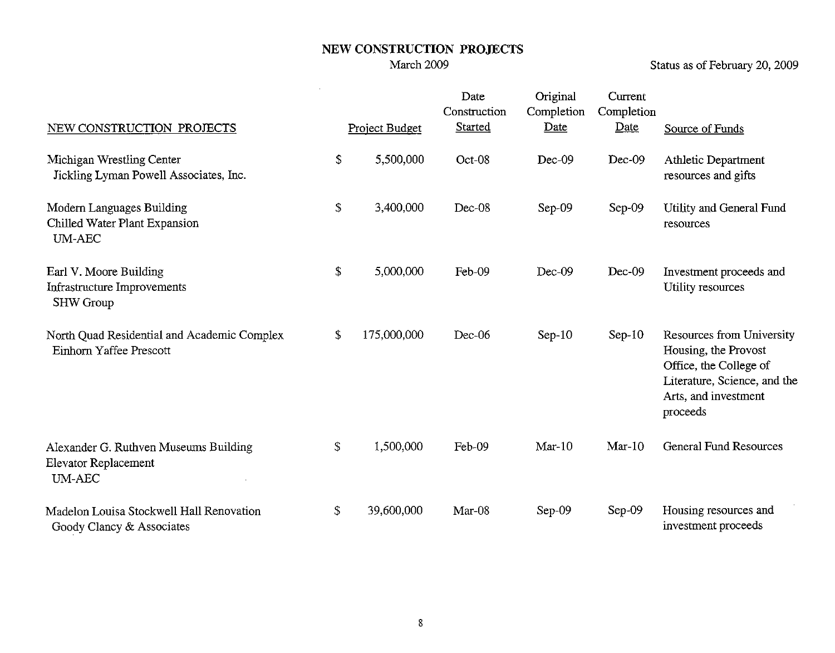Status as of February 20, 2009

| NEW CONSTRUCTION PROJECTS                                                      | Project Budget    | Date<br>Construction<br>Started | Original<br>Completion<br>Date | Current<br>Completion<br>Date | Source of Funds                                                                                                                                 |
|--------------------------------------------------------------------------------|-------------------|---------------------------------|--------------------------------|-------------------------------|-------------------------------------------------------------------------------------------------------------------------------------------------|
| Michigan Wrestling Center<br>Jickling Lyman Powell Associates, Inc.            | \$<br>5,500,000   | Oct-08                          | Dec-09                         | Dec-09                        | Athletic Department<br>resources and gifts                                                                                                      |
| Modern Languages Building<br>Chilled Water Plant Expansion<br><b>UM-AEC</b>    | \$<br>3,400,000   | Dec-08                          | Sep-09                         | $Sep-09$                      | Utility and General Fund<br>resources                                                                                                           |
| Earl V. Moore Building<br>Infrastructure Improvements<br><b>SHW Group</b>      | \$<br>5,000,000   | Feb-09                          | $Dec-09$                       | $Dec-09$                      | Investment proceeds and<br>Utility resources                                                                                                    |
| North Quad Residential and Academic Complex<br>Einhorn Yaffee Prescott         | \$<br>175,000,000 | Dec-06                          | $Sep-10$                       | $Sep-10$                      | Resources from University<br>Housing, the Provost<br>Office, the College of<br>Literature, Science, and the<br>Arts, and investment<br>proceeds |
| Alexander G. Ruthven Museums Building<br>Elevator Replacement<br><b>UM-AEC</b> | \$<br>1,500,000   | Feb-09                          | $Mar-10$                       | $Mar-10$                      | <b>General Fund Resources</b>                                                                                                                   |
| Madelon Louisa Stockwell Hall Renovation<br>Goody Clancy & Associates          | \$<br>39,600,000  | Mar-08                          | $Sep-09$                       | Sep-09                        | Housing resources and<br>investment proceeds                                                                                                    |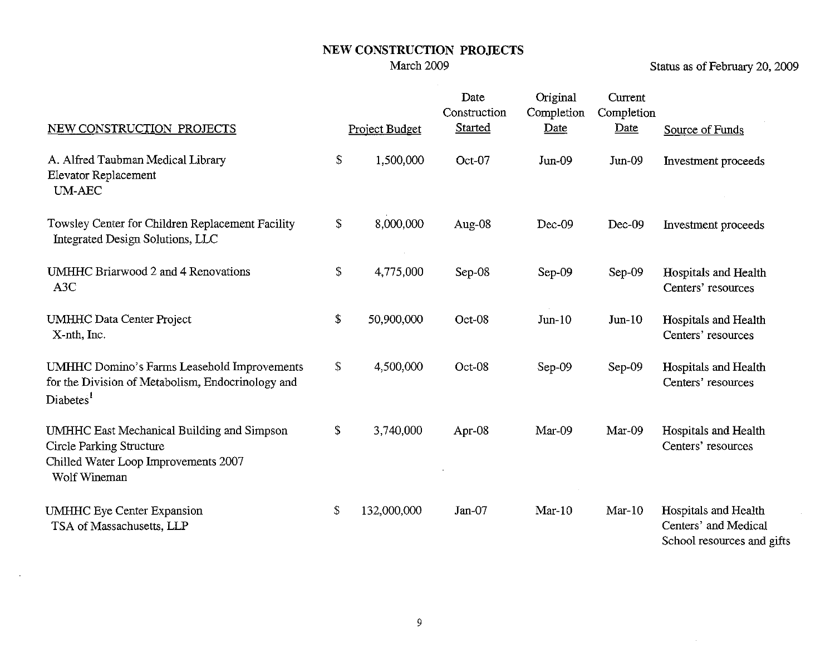Status as of February 20, 2009

| NEW CONSTRUCTION PROJECTS                                                                                                             | Project Budget    | Date<br>Construction<br><b>Started</b> | Original<br>Completion<br>Date | Current<br>Completion<br>Date | Source of Funds                                                            |
|---------------------------------------------------------------------------------------------------------------------------------------|-------------------|----------------------------------------|--------------------------------|-------------------------------|----------------------------------------------------------------------------|
| A. Alfred Taubman Medical Library<br><b>Elevator Replacement</b><br><b>UM-AEC</b>                                                     | \$<br>1,500,000   | Oct-07                                 | $Jun-09$                       | Jun-09                        | Investment proceeds                                                        |
| Towsley Center for Children Replacement Facility<br>Integrated Design Solutions, LLC                                                  | \$<br>8,000,000   | Aug-08                                 | $Dec-09$                       | Dec-09                        | Investment proceeds                                                        |
| UMHHC Briarwood 2 and 4 Renovations<br>A <sub>3</sub> C                                                                               | \$<br>4,775,000   | Sep-08                                 | $Sep-09$                       | Sep-09                        | Hospitals and Health<br>Centers' resources                                 |
| <b>UMHHC Data Center Project</b><br>X-nth, Inc.                                                                                       | \$<br>50,900,000  | Oct-08                                 | $Jun-10$                       | $Jun-10$                      | Hospitals and Health<br>Centers' resources                                 |
| <b>UMHHC Domino's Farms Leasehold Improvements</b><br>for the Division of Metabolism, Endocrinology and<br>Diabetes <sup>1</sup>      | \$<br>4,500,000   | Oct-08                                 | $Sep-09$                       | $Sep-09$                      | Hospitals and Health<br>Centers' resources                                 |
| UMHHC East Mechanical Building and Simpson<br><b>Circle Parking Structure</b><br>Chilled Water Loop Improvements 2007<br>Wolf Wineman | \$<br>3,740,000   | Apr-08                                 | Mar-09                         | Mar-09                        | Hospitals and Health<br>Centers' resources                                 |
| <b>UMHHC</b> Eye Center Expansion<br>TSA of Massachusetts, LLP                                                                        | \$<br>132,000,000 | $Jan-07$                               | $Mar-10$                       | $Mar-10$                      | Hospitals and Health<br>Centers' and Medical<br>School resources and gifts |

 $\sim$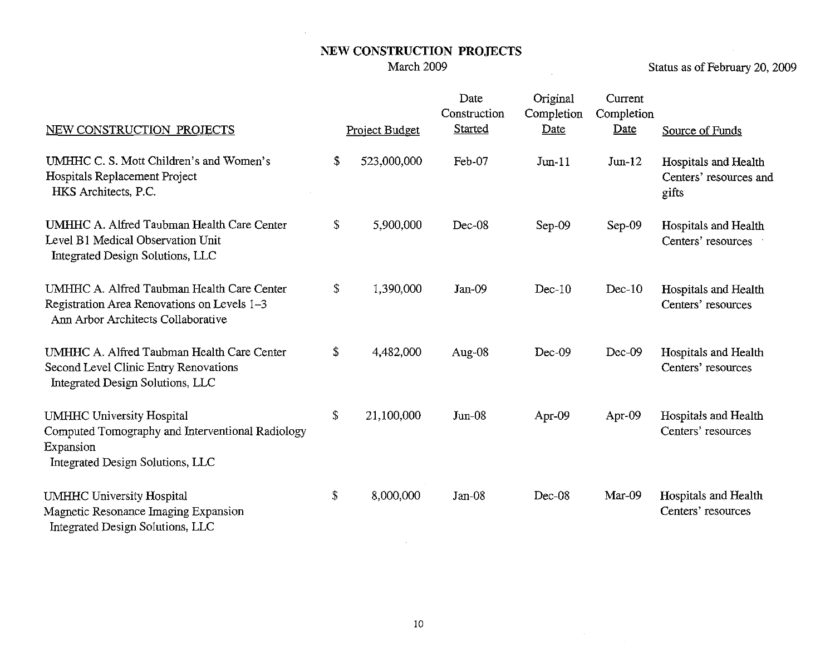$\mathcal{A}$ 

Status as of February 20, 2009

| NEW CONSTRUCTION PROJECTS                                                                                                             | Project Budget    | Date<br>Construction<br>Started | Original<br>Completion<br>Date | Current<br>Completion<br>Date | Source of Funds                                         |
|---------------------------------------------------------------------------------------------------------------------------------------|-------------------|---------------------------------|--------------------------------|-------------------------------|---------------------------------------------------------|
| UMHHC C. S. Mott Children's and Women's<br>Hospitals Replacement Project<br>HKS Architects, P.C.                                      | \$<br>523,000,000 | Feb-07                          | $Jun-11$                       | $Jun-12$                      | Hospitals and Health<br>Centers' resources and<br>gifts |
| UMHHC A. Alfred Taubman Health Care Center<br>Level B1 Medical Observation Unit<br>Integrated Design Solutions, LLC                   | \$<br>5,900,000   | Dec-08                          | Sep-09                         | Sep-09                        | Hospitals and Health<br>Centers' resources              |
| UMHHC A. Alfred Taubman Health Care Center<br>Registration Area Renovations on Levels 1-3<br>Ann Arbor Architects Collaborative       | \$<br>1,390,000   | $Jan-09$                        | $Dec-10$                       | $Dec-10$                      | Hospitals and Health<br>Centers' resources              |
| UMHHC A. Alfred Taubman Health Care Center<br>Second Level Clinic Entry Renovations<br>Integrated Design Solutions, LLC               | \$<br>4,482,000   | Aug-08                          | Dec-09                         | Dec-09                        | Hospitals and Health<br>Centers' resources              |
| <b>UMHHC University Hospital</b><br>Computed Tomography and Interventional Radiology<br>Expansion<br>Integrated Design Solutions, LLC | \$<br>21,100,000  | $Jun-08$                        | Apr-09                         | Apr-09                        | Hospitals and Health<br>Centers' resources              |
| <b>UMHHC University Hospital</b><br>Magnetic Resonance Imaging Expansion<br>Integrated Design Solutions, LLC                          | \$<br>8,000,000   | Jan-08                          | Dec-08                         | Mar-09                        | Hospitals and Health<br>Centers' resources              |

 $\label{eq:2.1} \frac{1}{\sqrt{2\pi}}\int_{0}^{\infty} \frac{d\mu}{\sqrt{2\pi}}\,d\mu\,d\mu\,d\mu\,.$